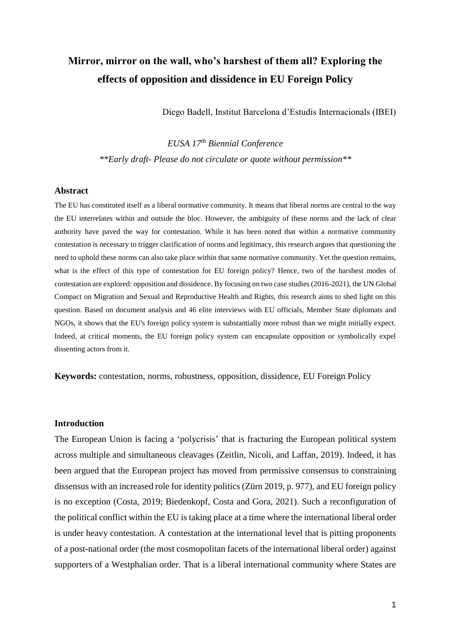# **Mirror, mirror on the wall, who's harshest of them all? Exploring the effects of opposition and dissidence in EU Foreign Policy**

Diego Badell, Institut Barcelona d'Estudis Internacionals (IBEI)

*EUSA 17th Biennial Conference \*\*Early draft- Please do not circulate or quote without permission\*\**

#### **Abstract**

The EU has constituted itself as a liberal normative community. It means that liberal norms are central to the way the EU interrelates within and outside the bloc. However, the ambiguity of these norms and the lack of clear authority have paved the way for contestation. While it has been noted that within a normative community contestation is necessary to trigger clarification of norms and legitimacy, this research argues that questioning the need to uphold these norms can also take place within that same normative community. Yet the question remains, what is the effect of this type of contestation for EU foreign policy? Hence, two of the harshest modes of contestation are explored: opposition and dissidence. By focusing on two case studies (2016-2021), the UN Global Compact on Migration and Sexual and Reproductive Health and Rights, this research aims to shed light on this question. Based on document analysis and 46 elite interviews with EU officials, Member State diplomats and NGOs, it shows that the EU's foreign policy system is substantially more robust than we might initially expect. Indeed, at critical moments, the EU foreign policy system can encapsulate opposition or symbolically expel dissenting actors from it.

**Keywords:** contestation, norms, robustness, opposition, dissidence, EU Foreign Policy

### **Introduction**

The European Union is facing a 'polycrisis' that is fracturing the European political system across multiple and simultaneous cleavages (Zeitlin, Nicoli, and Laffan, 2019). Indeed, it has been argued that the European project has moved from permissive consensus to constraining dissensus with an increased role for identity politics (Zürn 2019, p. 977), and EU foreign policy is no exception (Costa, 2019; Biedenkopf, Costa and Gora, 2021). Such a reconfiguration of the political conflict within the EU is taking place at a time where the international liberal order is under heavy contestation. A contestation at the international level that is pitting proponents of a post-national order (the most cosmopolitan facets of the international liberal order) against supporters of a Westphalian order. That is a liberal international community where States are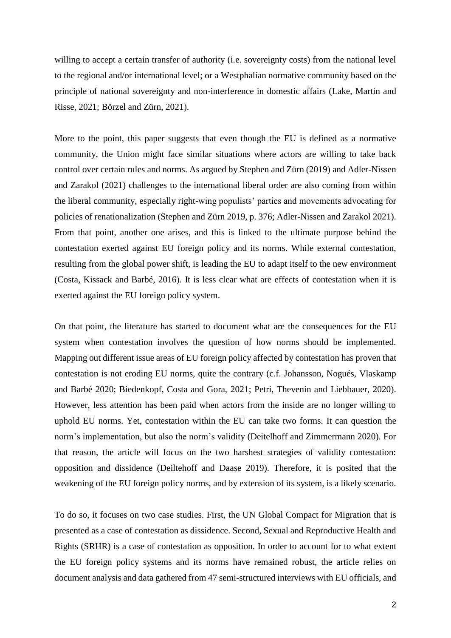willing to accept a certain transfer of authority (i.e. sovereignty costs) from the national level to the regional and/or international level; or a Westphalian normative community based on the principle of national sovereignty and non-interference in domestic affairs (Lake, Martin and Risse, 2021; Börzel and Zürn, 2021).

More to the point, this paper suggests that even though the EU is defined as a normative community, the Union might face similar situations where actors are willing to take back control over certain rules and norms. As argued by Stephen and Zürn (2019) and Adler-Nissen and Zarakol (2021) challenges to the international liberal order are also coming from within the liberal community, especially right-wing populists' parties and movements advocating for policies of renationalization (Stephen and Zürn 2019, p. 376; Adler-Nissen and Zarakol 2021). From that point, another one arises, and this is linked to the ultimate purpose behind the contestation exerted against EU foreign policy and its norms. While external contestation, resulting from the global power shift, is leading the EU to adapt itself to the new environment (Costa, Kissack and Barbé, 2016). It is less clear what are effects of contestation when it is exerted against the EU foreign policy system.

On that point, the literature has started to document what are the consequences for the EU system when contestation involves the question of how norms should be implemented. Mapping out different issue areas of EU foreign policy affected by contestation has proven that contestation is not eroding EU norms, quite the contrary (c.f. Johansson, Nogués, Vlaskamp and Barbé 2020; Biedenkopf, Costa and Gora, 2021; Petri, Thevenin and Liebbauer, 2020). However, less attention has been paid when actors from the inside are no longer willing to uphold EU norms. Yet, contestation within the EU can take two forms. It can question the norm's implementation, but also the norm's validity (Deitelhoff and Zimmermann 2020). For that reason, the article will focus on the two harshest strategies of validity contestation: opposition and dissidence (Deiltehoff and Daase 2019). Therefore, it is posited that the weakening of the EU foreign policy norms, and by extension of its system, is a likely scenario.

To do so, it focuses on two case studies. First, the UN Global Compact for Migration that is presented as a case of contestation as dissidence. Second, Sexual and Reproductive Health and Rights (SRHR) is a case of contestation as opposition. In order to account for to what extent the EU foreign policy systems and its norms have remained robust, the article relies on document analysis and data gathered from 47 semi-structured interviews with EU officials, and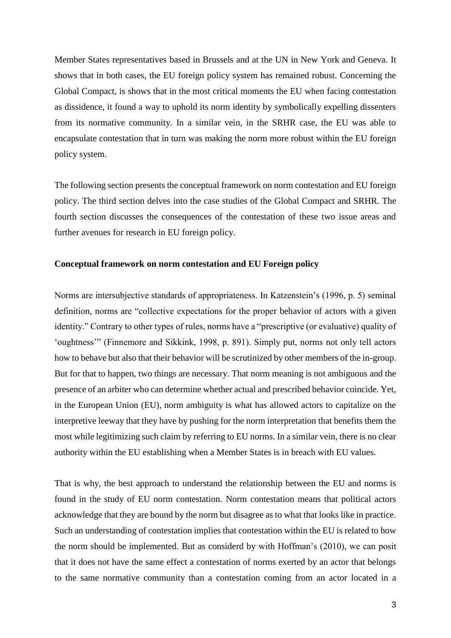Member States representatives based in Brussels and at the UN in New York and Geneva. It shows that in both cases, the EU foreign policy system has remained robust. Concerning the Global Compact, is shows that in the most critical moments the EU when facing contestation as dissidence, it found a way to uphold its norm identity by symbolically expelling dissenters from its normative community. In a similar vein, in the SRHR case, the EU was able to encapsulate contestation that in turn was making the norm more robust within the EU foreign policy system.

The following section presents the conceptual framework on norm contestation and EU foreign policy. The third section delves into the case studies of the Global Compact and SRHR. The fourth section discusses the consequences of the contestation of these two issue areas and further avenues for research in EU foreign policy.

## **Conceptual framework on norm contestation and EU Foreign policy**

Norms are intersubjective standards of appropriateness. In Katzenstein's (1996, p. 5) seminal definition, norms are "collective expectations for the proper behavior of actors with a given identity." Contrary to other types of rules, norms have a "prescriptive (or evaluative) quality of 'oughtness'" (Finnemore and Sikkink, 1998, p. 891). Simply put, norms not only tell actors how to behave but also that their behavior will be scrutinized by other members of the in-group. But for that to happen, two things are necessary. That norm meaning is not ambiguous and the presence of an arbiter who can determine whether actual and prescribed behavior coincide. Yet, in the European Union (EU), norm ambiguity is what has allowed actors to capitalize on the interpretive leeway that they have by pushing for the norm interpretation that benefits them the most while legitimizing such claim by referring to EU norms. In a similar vein, there is no clear authority within the EU establishing when a Member States is in breach with EU values.

That is why, the best approach to understand the relationship between the EU and norms is found in the study of EU norm contestation. Norm contestation means that political actors acknowledge that they are bound by the norm but disagree as to what that looks like in practice. Such an understanding of contestation implies that contestation within the EU is related to how the norm should be implemented. But as considerd by with Hoffman's (2010), we can posit that it does not have the same effect a contestation of norms exerted by an actor that belongs to the same normative community than a contestation coming from an actor located in a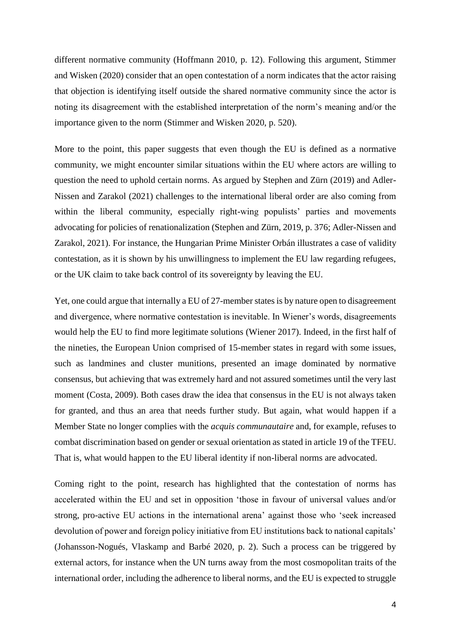different normative community (Hoffmann 2010, p. 12). Following this argument, Stimmer and Wisken (2020) consider that an open contestation of a norm indicates that the actor raising that objection is identifying itself outside the shared normative community since the actor is noting its disagreement with the established interpretation of the norm's meaning and/or the importance given to the norm (Stimmer and Wisken 2020, p. 520).

More to the point, this paper suggests that even though the EU is defined as a normative community, we might encounter similar situations within the EU where actors are willing to question the need to uphold certain norms. As argued by Stephen and Zürn (2019) and Adler-Nissen and Zarakol (2021) challenges to the international liberal order are also coming from within the liberal community, especially right-wing populists' parties and movements advocating for policies of renationalization (Stephen and Zürn, 2019, p. 376; Adler-Nissen and Zarakol, 2021). For instance, the Hungarian Prime Minister Orbán illustrates a case of validity contestation, as it is shown by his unwillingness to implement the EU law regarding refugees, or the UK claim to take back control of its sovereignty by leaving the EU.

Yet, one could argue that internally a EU of 27-member states is by nature open to disagreement and divergence, where normative contestation is inevitable. In Wiener's words, disagreements would help the EU to find more legitimate solutions (Wiener 2017). Indeed, in the first half of the nineties, the European Union comprised of 15-member states in regard with some issues, such as landmines and cluster munitions, presented an image dominated by normative consensus, but achieving that was extremely hard and not assured sometimes until the very last moment (Costa, 2009). Both cases draw the idea that consensus in the EU is not always taken for granted, and thus an area that needs further study. But again, what would happen if a Member State no longer complies with the *acquis communautaire* and, for example, refuses to combat discrimination based on gender or sexual orientation as stated in article 19 of the TFEU. That is, what would happen to the EU liberal identity if non-liberal norms are advocated.

Coming right to the point, research has highlighted that the contestation of norms has accelerated within the EU and set in opposition 'those in favour of universal values and/or strong, pro-active EU actions in the international arena' against those who 'seek increased devolution of power and foreign policy initiative from EU institutions back to national capitals' (Johansson-Nogués, Vlaskamp and Barbé 2020, p. 2). Such a process can be triggered by external actors, for instance when the UN turns away from the most cosmopolitan traits of the international order, including the adherence to liberal norms, and the EU is expected to struggle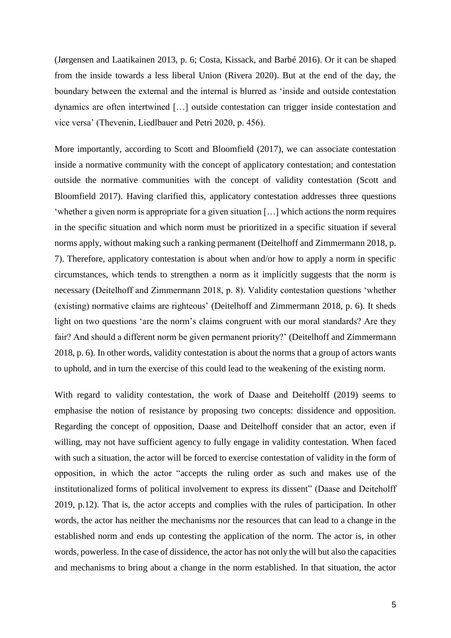(Jørgensen and Laatikainen 2013, p. 6; Costa, Kissack, and Barbé 2016). Or it can be shaped from the inside towards a less liberal Union (Rivera 2020). But at the end of the day, the boundary between the external and the internal is blurred as 'inside and outside contestation dynamics are often intertwined […] outside contestation can trigger inside contestation and vice versa' (Thevenin, Liedlbauer and Petri 2020, p. 456).

More importantly, according to Scott and Bloomfield (2017), we can associate contestation inside a normative community with the concept of applicatory contestation; and contestation outside the normative communities with the concept of validity contestation (Scott and Bloomfield 2017). Having clarified this, applicatory contestation addresses three questions 'whether a given norm is appropriate for a given situation […] which actions the norm requires in the specific situation and which norm must be prioritized in a specific situation if several norms apply, without making such a ranking permanent (Deitelhoff and Zimmermann 2018, p. 7). Therefore, applicatory contestation is about when and/or how to apply a norm in specific circumstances, which tends to strengthen a norm as it implicitly suggests that the norm is necessary (Deitelhoff and Zimmermann 2018, p. 8). Validity contestation questions 'whether (existing) normative claims are righteous' (Deitelhoff and Zimmermann 2018, p. 6). It sheds light on two questions 'are the norm's claims congruent with our moral standards? Are they fair? And should a different norm be given permanent priority?' (Deitelhoff and Zimmermann 2018, p. 6). In other words, validity contestation is about the norms that a group of actors wants to uphold, and in turn the exercise of this could lead to the weakening of the existing norm.

With regard to validity contestation, the work of Daase and Deiteholff (2019) seems to emphasise the notion of resistance by proposing two concepts: dissidence and opposition. Regarding the concept of opposition, Daase and Deitelhoff consider that an actor, even if willing, may not have sufficient agency to fully engage in validity contestation. When faced with such a situation, the actor will be forced to exercise contestation of validity in the form of opposition, in which the actor "accepts the ruling order as such and makes use of the institutionalized forms of political involvement to express its dissent" (Daase and Deiteholff 2019, p.12). That is, the actor accepts and complies with the rules of participation. In other words, the actor has neither the mechanisms nor the resources that can lead to a change in the established norm and ends up contesting the application of the norm. The actor is, in other words, powerless. In the case of dissidence, the actor has not only the will but also the capacities and mechanisms to bring about a change in the norm established. In that situation, the actor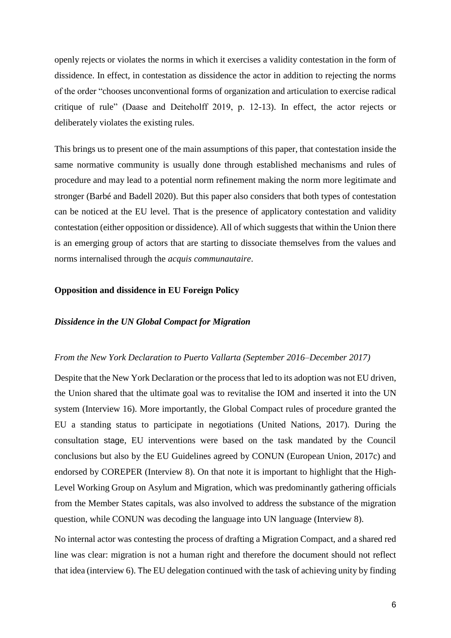openly rejects or violates the norms in which it exercises a validity contestation in the form of dissidence. In effect, in contestation as dissidence the actor in addition to rejecting the norms of the order "chooses unconventional forms of organization and articulation to exercise radical critique of rule" (Daase and Deiteholff 2019, p. 12-13). In effect, the actor rejects or deliberately violates the existing rules.

This brings us to present one of the main assumptions of this paper, that contestation inside the same normative community is usually done through established mechanisms and rules of procedure and may lead to a potential norm refinement making the norm more legitimate and stronger (Barbé and Badell 2020). But this paper also considers that both types of contestation can be noticed at the EU level. That is the presence of applicatory contestation and validity contestation (either opposition or dissidence). All of which suggests that within the Union there is an emerging group of actors that are starting to dissociate themselves from the values and norms internalised through the *acquis communautaire*.

#### **Opposition and dissidence in EU Foreign Policy**

#### *Dissidence in the UN Global Compact for Migration*

#### *From the New York Declaration to Puerto Vallarta (September 2016–December 2017)*

Despite that the New York Declaration or the process that led to its adoption was not EU driven, the Union shared that the ultimate goal was to revitalise the IOM and inserted it into the UN system (Interview 16). More importantly, the Global Compact rules of procedure granted the EU a standing status to participate in negotiations (United Nations, 2017). During the consultation stage, EU interventions were based on the task mandated by the Council conclusions but also by the EU Guidelines agreed by CONUN (European Union, 2017c) and endorsed by COREPER (Interview 8). On that note it is important to highlight that the High-Level Working Group on Asylum and Migration, which was predominantly gathering officials from the Member States capitals, was also involved to address the substance of the migration question, while CONUN was decoding the language into UN language (Interview 8).

No internal actor was contesting the process of drafting a Migration Compact, and a shared red line was clear: migration is not a human right and therefore the document should not reflect that idea (interview 6). The EU delegation continued with the task of achieving unity by finding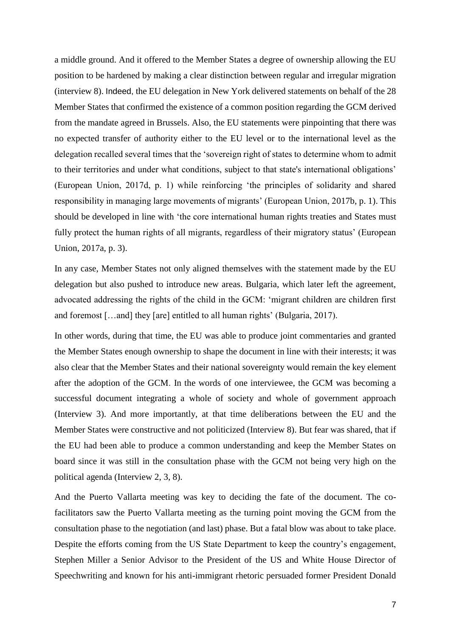a middle ground. And it offered to the Member States a degree of ownership allowing the EU position to be hardened by making a clear distinction between regular and irregular migration (interview 8). Indeed, the EU delegation in New York delivered statements on behalf of the 28 Member States that confirmed the existence of a common position regarding the GCM derived from the mandate agreed in Brussels. Also, the EU statements were pinpointing that there was no expected transfer of authority either to the EU level or to the international level as the delegation recalled several times that the 'sovereign right of states to determine whom to admit to their territories and under what conditions, subject to that state's international obligations' (European Union, 2017d, p. 1) while reinforcing 'the principles of solidarity and shared responsibility in managing large movements of migrants' (European Union, 2017b, p. 1). This should be developed in line with 'the core international human rights treaties and States must fully protect the human rights of all migrants, regardless of their migratory status' (European Union, 2017a, p. 3).

In any case, Member States not only aligned themselves with the statement made by the EU delegation but also pushed to introduce new areas. Bulgaria, which later left the agreement, advocated addressing the rights of the child in the GCM: 'migrant children are children first and foremost […and] they [are] entitled to all human rights' (Bulgaria, 2017).

In other words, during that time, the EU was able to produce joint commentaries and granted the Member States enough ownership to shape the document in line with their interests; it was also clear that the Member States and their national sovereignty would remain the key element after the adoption of the GCM. In the words of one interviewee, the GCM was becoming a successful document integrating a whole of society and whole of government approach (Interview 3). And more importantly, at that time deliberations between the EU and the Member States were constructive and not politicized (Interview 8). But fear was shared, that if the EU had been able to produce a common understanding and keep the Member States on board since it was still in the consultation phase with the GCM not being very high on the political agenda (Interview 2, 3, 8).

And the Puerto Vallarta meeting was key to deciding the fate of the document. The cofacilitators saw the Puerto Vallarta meeting as the turning point moving the GCM from the consultation phase to the negotiation (and last) phase. But a fatal blow was about to take place. Despite the efforts coming from the US State Department to keep the country's engagement, Stephen Miller a Senior Advisor to the President of the US and White House Director of Speechwriting and known for his anti-immigrant rhetoric persuaded former President Donald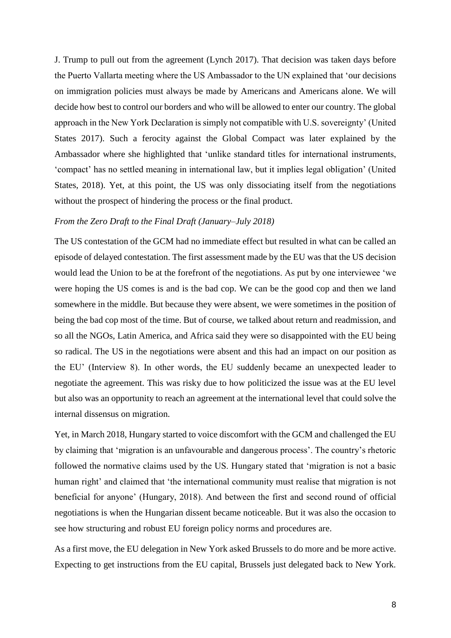J. Trump to pull out from the agreement (Lynch 2017). That decision was taken days before the Puerto Vallarta meeting where the US Ambassador to the UN explained that 'our decisions on immigration policies must always be made by Americans and Americans alone. We will decide how best to control our borders and who will be allowed to enter our country. The global approach in the New York Declaration is simply not compatible with U.S. sovereignty' (United States 2017). Such a ferocity against the Global Compact was later explained by the Ambassador where she highlighted that 'unlike standard titles for international instruments, 'compact' has no settled meaning in international law, but it implies legal obligation' (United States, 2018). Yet, at this point, the US was only dissociating itself from the negotiations without the prospect of hindering the process or the final product.

#### *From the Zero Draft to the Final Draft (January–July 2018)*

The US contestation of the GCM had no immediate effect but resulted in what can be called an episode of delayed contestation. The first assessment made by the EU was that the US decision would lead the Union to be at the forefront of the negotiations. As put by one interviewee 'we were hoping the US comes is and is the bad cop. We can be the good cop and then we land somewhere in the middle. But because they were absent, we were sometimes in the position of being the bad cop most of the time. But of course, we talked about return and readmission, and so all the NGOs, Latin America, and Africa said they were so disappointed with the EU being so radical. The US in the negotiations were absent and this had an impact on our position as the EU' (Interview 8). In other words, the EU suddenly became an unexpected leader to negotiate the agreement. This was risky due to how politicized the issue was at the EU level but also was an opportunity to reach an agreement at the international level that could solve the internal dissensus on migration.

Yet, in March 2018, Hungary started to voice discomfort with the GCM and challenged the EU by claiming that 'migration is an unfavourable and dangerous process'. The country's rhetoric followed the normative claims used by the US. Hungary stated that 'migration is not a basic human right' and claimed that 'the international community must realise that migration is not beneficial for anyone' (Hungary, 2018). And between the first and second round of official negotiations is when the Hungarian dissent became noticeable. But it was also the occasion to see how structuring and robust EU foreign policy norms and procedures are.

As a first move, the EU delegation in New York asked Brussels to do more and be more active. Expecting to get instructions from the EU capital, Brussels just delegated back to New York.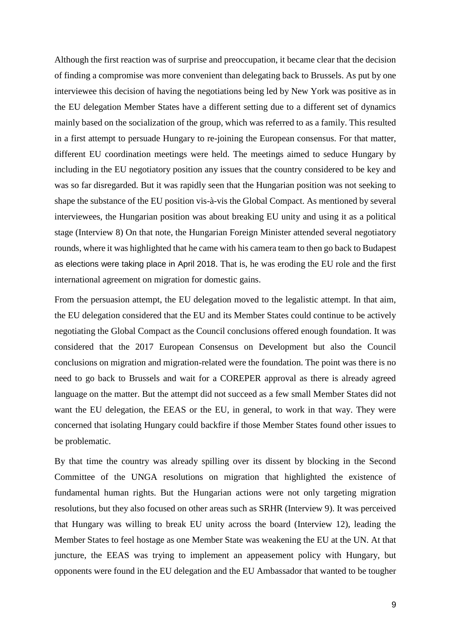Although the first reaction was of surprise and preoccupation, it became clear that the decision of finding a compromise was more convenient than delegating back to Brussels. As put by one interviewee this decision of having the negotiations being led by New York was positive as in the EU delegation Member States have a different setting due to a different set of dynamics mainly based on the socialization of the group, which was referred to as a family. This resulted in a first attempt to persuade Hungary to re-joining the European consensus. For that matter, different EU coordination meetings were held. The meetings aimed to seduce Hungary by including in the EU negotiatory position any issues that the country considered to be key and was so far disregarded. But it was rapidly seen that the Hungarian position was not seeking to shape the substance of the EU position vis-à-vis the Global Compact. As mentioned by several interviewees, the Hungarian position was about breaking EU unity and using it as a political stage (Interview 8) On that note, the Hungarian Foreign Minister attended several negotiatory rounds, where it was highlighted that he came with his camera team to then go back to Budapest as elections were taking place in April 2018. That is, he was eroding the EU role and the first international agreement on migration for domestic gains.

From the persuasion attempt, the EU delegation moved to the legalistic attempt. In that aim, the EU delegation considered that the EU and its Member States could continue to be actively negotiating the Global Compact as the Council conclusions offered enough foundation. It was considered that the 2017 European Consensus on Development but also the Council conclusions on migration and migration-related were the foundation. The point was there is no need to go back to Brussels and wait for a COREPER approval as there is already agreed language on the matter. But the attempt did not succeed as a few small Member States did not want the EU delegation, the EEAS or the EU, in general, to work in that way. They were concerned that isolating Hungary could backfire if those Member States found other issues to be problematic.

By that time the country was already spilling over its dissent by blocking in the Second Committee of the UNGA resolutions on migration that highlighted the existence of fundamental human rights. But the Hungarian actions were not only targeting migration resolutions, but they also focused on other areas such as SRHR (Interview 9). It was perceived that Hungary was willing to break EU unity across the board (Interview 12), leading the Member States to feel hostage as one Member State was weakening the EU at the UN. At that juncture, the EEAS was trying to implement an appeasement policy with Hungary, but opponents were found in the EU delegation and the EU Ambassador that wanted to be tougher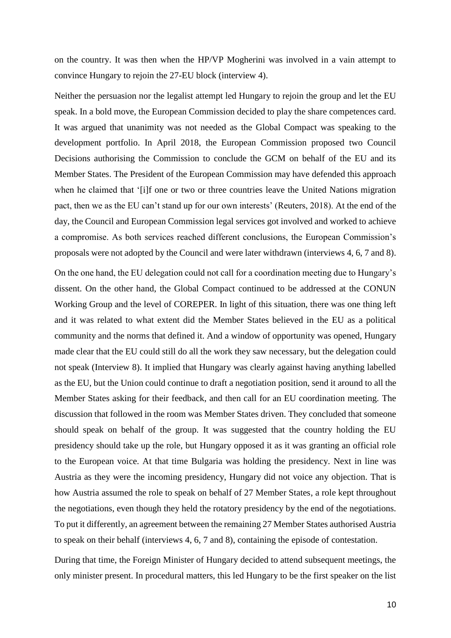on the country. It was then when the HP/VP Mogherini was involved in a vain attempt to convince Hungary to rejoin the 27-EU block (interview 4).

Neither the persuasion nor the legalist attempt led Hungary to rejoin the group and let the EU speak. In a bold move, the European Commission decided to play the share competences card. It was argued that unanimity was not needed as the Global Compact was speaking to the development portfolio. In April 2018, the European Commission proposed two Council Decisions authorising the Commission to conclude the GCM on behalf of the EU and its Member States. The President of the European Commission may have defended this approach when he claimed that '[i]f one or two or three countries leave the United Nations migration pact, then we as the EU can't stand up for our own interests' (Reuters, 2018). At the end of the day, the Council and European Commission legal services got involved and worked to achieve a compromise. As both services reached different conclusions, the European Commission's proposals were not adopted by the Council and were later withdrawn (interviews 4, 6, 7 and 8).

On the one hand, the EU delegation could not call for a coordination meeting due to Hungary's dissent. On the other hand, the Global Compact continued to be addressed at the CONUN Working Group and the level of COREPER. In light of this situation, there was one thing left and it was related to what extent did the Member States believed in the EU as a political community and the norms that defined it. And a window of opportunity was opened, Hungary made clear that the EU could still do all the work they saw necessary, but the delegation could not speak (Interview 8). It implied that Hungary was clearly against having anything labelled as the EU, but the Union could continue to draft a negotiation position, send it around to all the Member States asking for their feedback, and then call for an EU coordination meeting. The discussion that followed in the room was Member States driven. They concluded that someone should speak on behalf of the group. It was suggested that the country holding the EU presidency should take up the role, but Hungary opposed it as it was granting an official role to the European voice. At that time Bulgaria was holding the presidency. Next in line was Austria as they were the incoming presidency, Hungary did not voice any objection. That is how Austria assumed the role to speak on behalf of 27 Member States, a role kept throughout the negotiations, even though they held the rotatory presidency by the end of the negotiations. To put it differently, an agreement between the remaining 27 Member States authorised Austria to speak on their behalf (interviews 4, 6, 7 and 8), containing the episode of contestation.

During that time, the Foreign Minister of Hungary decided to attend subsequent meetings, the only minister present. In procedural matters, this led Hungary to be the first speaker on the list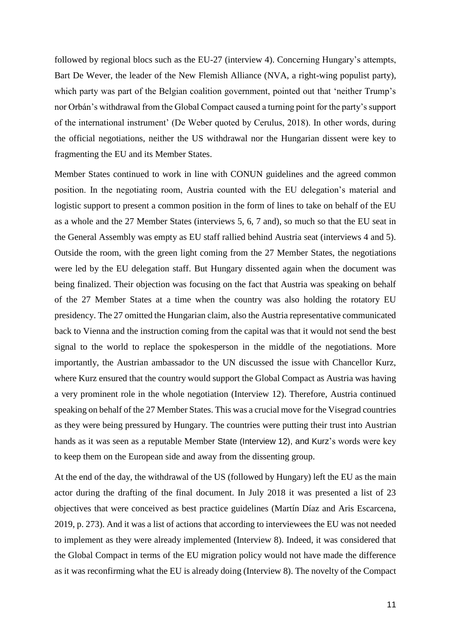followed by regional blocs such as the EU-27 (interview 4). Concerning Hungary's attempts, Bart De Wever, the leader of the New Flemish Alliance (NVA, a right-wing populist party), which party was part of the Belgian coalition government, pointed out that 'neither Trump's nor Orbán's withdrawal from the Global Compact caused a turning point for the party's support of the international instrument' (De Weber quoted by Cerulus, 2018). In other words, during the official negotiations, neither the US withdrawal nor the Hungarian dissent were key to fragmenting the EU and its Member States.

Member States continued to work in line with CONUN guidelines and the agreed common position. In the negotiating room, Austria counted with the EU delegation's material and logistic support to present a common position in the form of lines to take on behalf of the EU as a whole and the 27 Member States (interviews 5, 6, 7 and), so much so that the EU seat in the General Assembly was empty as EU staff rallied behind Austria seat (interviews 4 and 5). Outside the room, with the green light coming from the 27 Member States, the negotiations were led by the EU delegation staff. But Hungary dissented again when the document was being finalized. Their objection was focusing on the fact that Austria was speaking on behalf of the 27 Member States at a time when the country was also holding the rotatory EU presidency. The 27 omitted the Hungarian claim, also the Austria representative communicated back to Vienna and the instruction coming from the capital was that it would not send the best signal to the world to replace the spokesperson in the middle of the negotiations. More importantly, the Austrian ambassador to the UN discussed the issue with Chancellor Kurz, where Kurz ensured that the country would support the Global Compact as Austria was having a very prominent role in the whole negotiation (Interview 12). Therefore, Austria continued speaking on behalf of the 27 Member States. This was a crucial move for the Visegrad countries as they were being pressured by Hungary. The countries were putting their trust into Austrian hands as it was seen as a reputable Member State (Interview 12), and Kurz's words were key to keep them on the European side and away from the dissenting group.

At the end of the day, the withdrawal of the US (followed by Hungary) left the EU as the main actor during the drafting of the final document. In July 2018 it was presented a list of 23 objectives that were conceived as best practice guidelines (Martín Díaz and Aris Escarcena, 2019, p. 273). And it was a list of actions that according to interviewees the EU was not needed to implement as they were already implemented (Interview 8). Indeed, it was considered that the Global Compact in terms of the EU migration policy would not have made the difference as it was reconfirming what the EU is already doing (Interview 8). The novelty of the Compact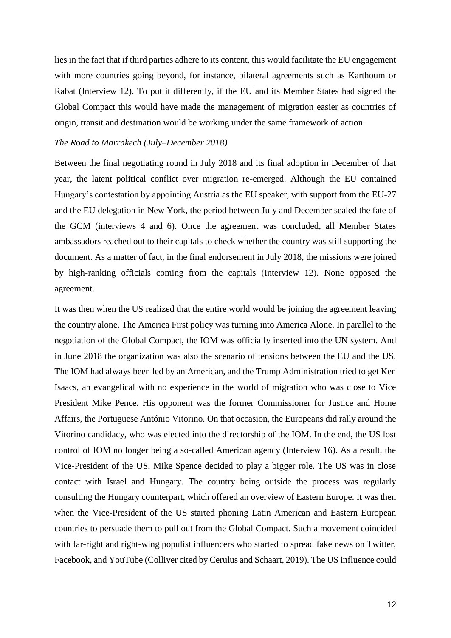lies in the fact that if third parties adhere to its content, this would facilitate the EU engagement with more countries going beyond, for instance, bilateral agreements such as Karthoum or Rabat (Interview 12). To put it differently, if the EU and its Member States had signed the Global Compact this would have made the management of migration easier as countries of origin, transit and destination would be working under the same framework of action.

#### *The Road to Marrakech (July–December 2018)*

Between the final negotiating round in July 2018 and its final adoption in December of that year, the latent political conflict over migration re-emerged. Although the EU contained Hungary's contestation by appointing Austria as the EU speaker, with support from the EU-27 and the EU delegation in New York, the period between July and December sealed the fate of the GCM (interviews 4 and 6). Once the agreement was concluded, all Member States ambassadors reached out to their capitals to check whether the country was still supporting the document. As a matter of fact, in the final endorsement in July 2018, the missions were joined by high-ranking officials coming from the capitals (Interview 12). None opposed the agreement.

It was then when the US realized that the entire world would be joining the agreement leaving the country alone. The America First policy was turning into America Alone. In parallel to the negotiation of the Global Compact, the IOM was officially inserted into the UN system. And in June 2018 the organization was also the scenario of tensions between the EU and the US. The IOM had always been led by an American, and the Trump Administration tried to get Ken Isaacs, an evangelical with no experience in the world of migration who was close to Vice President Mike Pence. His opponent was the former Commissioner for Justice and Home Affairs, the Portuguese António Vitorino. On that occasion, the Europeans did rally around the Vitorino candidacy, who was elected into the directorship of the IOM. In the end, the US lost control of IOM no longer being a so-called American agency (Interview 16). As a result, the Vice-President of the US, Mike Spence decided to play a bigger role. The US was in close contact with Israel and Hungary. The country being outside the process was regularly consulting the Hungary counterpart, which offered an overview of Eastern Europe. It was then when the Vice-President of the US started phoning Latin American and Eastern European countries to persuade them to pull out from the Global Compact. Such a movement coincided with far-right and right-wing populist influencers who started to spread fake news on Twitter, Facebook, and YouTube (Colliver cited by Cerulus and Schaart, 2019). The US influence could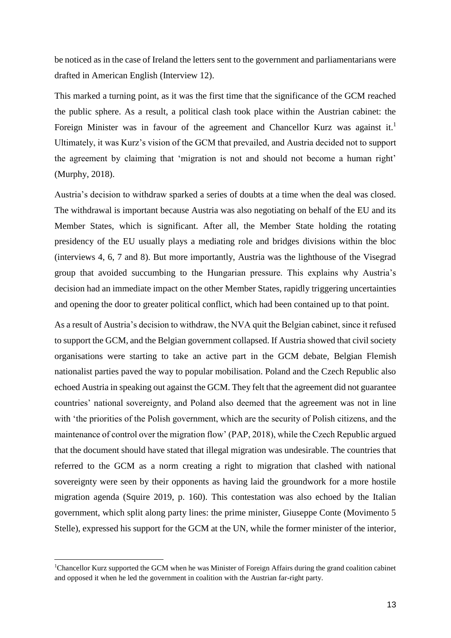be noticed as in the case of Ireland the letters sent to the government and parliamentarians were drafted in American English (Interview 12).

This marked a turning point, as it was the first time that the significance of the GCM reached the public sphere. As a result, a political clash took place within the Austrian cabinet: the Foreign Minister was in favour of the agreement and Chancellor Kurz was against it.<sup>1</sup> Ultimately, it was Kurz's vision of the GCM that prevailed, and Austria decided not to support the agreement by claiming that 'migration is not and should not become a human right' (Murphy, 2018).

Austria's decision to withdraw sparked a series of doubts at a time when the deal was closed. The withdrawal is important because Austria was also negotiating on behalf of the EU and its Member States, which is significant. After all, the Member State holding the rotating presidency of the EU usually plays a mediating role and bridges divisions within the bloc (interviews 4, 6, 7 and 8). But more importantly, Austria was the lighthouse of the Visegrad group that avoided succumbing to the Hungarian pressure. This explains why Austria's decision had an immediate impact on the other Member States, rapidly triggering uncertainties and opening the door to greater political conflict, which had been contained up to that point.

As a result of Austria's decision to withdraw, the NVA quit the Belgian cabinet, since it refused to support the GCM, and the Belgian government collapsed. If Austria showed that civil society organisations were starting to take an active part in the GCM debate, Belgian Flemish nationalist parties paved the way to popular mobilisation. Poland and the Czech Republic also echoed Austria in speaking out against the GCM. They felt that the agreement did not guarantee countries' national sovereignty, and Poland also deemed that the agreement was not in line with 'the priorities of the Polish government, which are the security of Polish citizens, and the maintenance of control over the migration flow' (PAP, 2018), while the Czech Republic argued that the document should have stated that illegal migration was undesirable. The countries that referred to the GCM as a norm creating a right to migration that clashed with national sovereignty were seen by their opponents as having laid the groundwork for a more hostile migration agenda (Squire 2019, p. 160). This contestation was also echoed by the Italian government, which split along party lines: the prime minister, Giuseppe Conte (Movimento 5 Stelle), expressed his support for the GCM at the UN, while the former minister of the interior,

-

<sup>1</sup>Chancellor Kurz supported the GCM when he was Minister of Foreign Affairs during the grand coalition cabinet and opposed it when he led the government in coalition with the Austrian far-right party.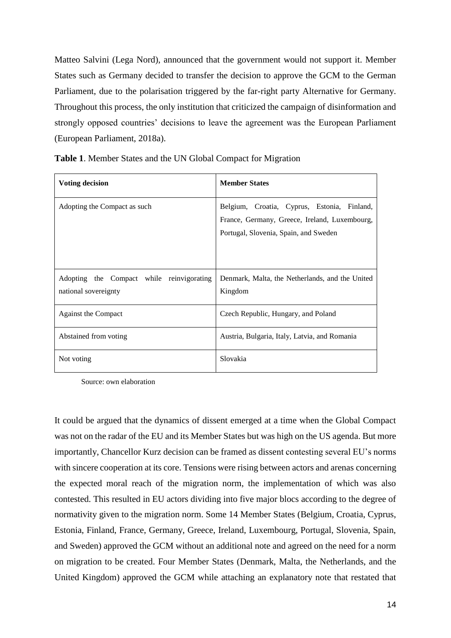Matteo Salvini (Lega Nord), announced that the government would not support it. Member States such as Germany decided to transfer the decision to approve the GCM to the German Parliament, due to the polarisation triggered by the far-right party Alternative for Germany. Throughout this process, the only institution that criticized the campaign of disinformation and strongly opposed countries' decisions to leave the agreement was the European Parliament (European Parliament, 2018a).

| <b>Voting decision</b>                                            | <b>Member States</b>                                                                                                                  |
|-------------------------------------------------------------------|---------------------------------------------------------------------------------------------------------------------------------------|
| Adopting the Compact as such                                      | Belgium, Croatia, Cyprus, Estonia, Finland,<br>France, Germany, Greece, Ireland, Luxembourg,<br>Portugal, Slovenia, Spain, and Sweden |
| Adopting the Compact while reinvigorating<br>national sovereignty | Denmark, Malta, the Netherlands, and the United<br>Kingdom                                                                            |
| Against the Compact                                               | Czech Republic, Hungary, and Poland                                                                                                   |
| Abstained from voting                                             | Austria, Bulgaria, Italy, Latvia, and Romania                                                                                         |
| Not voting                                                        | Slovakia                                                                                                                              |

**Table 1**. Member States and the UN Global Compact for Migration

Source: own elaboration

It could be argued that the dynamics of dissent emerged at a time when the Global Compact was not on the radar of the EU and its Member States but was high on the US agenda. But more importantly, Chancellor Kurz decision can be framed as dissent contesting several EU's norms with sincere cooperation at its core. Tensions were rising between actors and arenas concerning the expected moral reach of the migration norm, the implementation of which was also contested. This resulted in EU actors dividing into five major blocs according to the degree of normativity given to the migration norm. Some 14 Member States (Belgium, Croatia, Cyprus, Estonia, Finland, France, Germany, Greece, Ireland, Luxembourg, Portugal, Slovenia, Spain, and Sweden) approved the GCM without an additional note and agreed on the need for a norm on migration to be created. Four Member States (Denmark, Malta, the Netherlands, and the United Kingdom) approved the GCM while attaching an explanatory note that restated that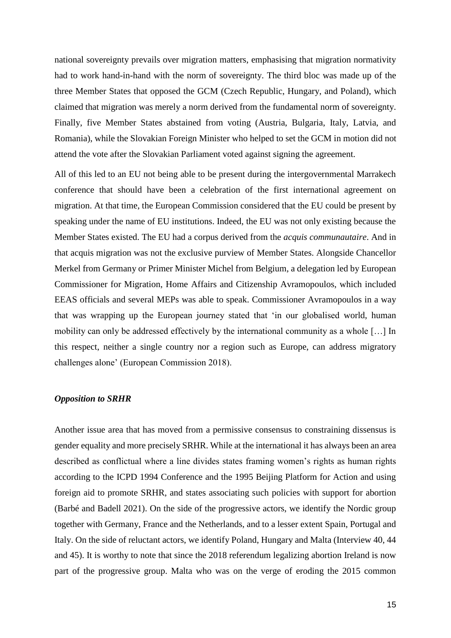national sovereignty prevails over migration matters, emphasising that migration normativity had to work hand-in-hand with the norm of sovereignty. The third bloc was made up of the three Member States that opposed the GCM (Czech Republic, Hungary, and Poland), which claimed that migration was merely a norm derived from the fundamental norm of sovereignty. Finally, five Member States abstained from voting (Austria, Bulgaria, Italy, Latvia, and Romania), while the Slovakian Foreign Minister who helped to set the GCM in motion did not attend the vote after the Slovakian Parliament voted against signing the agreement.

All of this led to an EU not being able to be present during the intergovernmental Marrakech conference that should have been a celebration of the first international agreement on migration. At that time, the European Commission considered that the EU could be present by speaking under the name of EU institutions. Indeed, the EU was not only existing because the Member States existed. The EU had a corpus derived from the *acquis communautaire*. And in that acquis migration was not the exclusive purview of Member States. Alongside Chancellor Merkel from Germany or Primer Minister Michel from Belgium, a delegation led by European Commissioner for Migration, Home Affairs and Citizenship Avramopoulos, which included EEAS officials and several MEPs was able to speak. Commissioner Avramopoulos in a way that was wrapping up the European journey stated that 'in our globalised world, human mobility can only be addressed effectively by the international community as a whole […] In this respect, neither a single country nor a region such as Europe, can address migratory challenges alone' (European Commission 2018).

## *Opposition to SRHR*

Another issue area that has moved from a permissive consensus to constraining dissensus is gender equality and more precisely SRHR. While at the international it has always been an area described as conflictual where a line divides states framing women's rights as human rights according to the ICPD 1994 Conference and the 1995 Beijing Platform for Action and using foreign aid to promote SRHR, and states associating such policies with support for abortion (Barbé and Badell 2021). On the side of the progressive actors, we identify the Nordic group together with Germany, France and the Netherlands, and to a lesser extent Spain, Portugal and Italy. On the side of reluctant actors, we identify Poland, Hungary and Malta (Interview 40, 44 and 45). It is worthy to note that since the 2018 referendum legalizing abortion Ireland is now part of the progressive group. Malta who was on the verge of eroding the 2015 common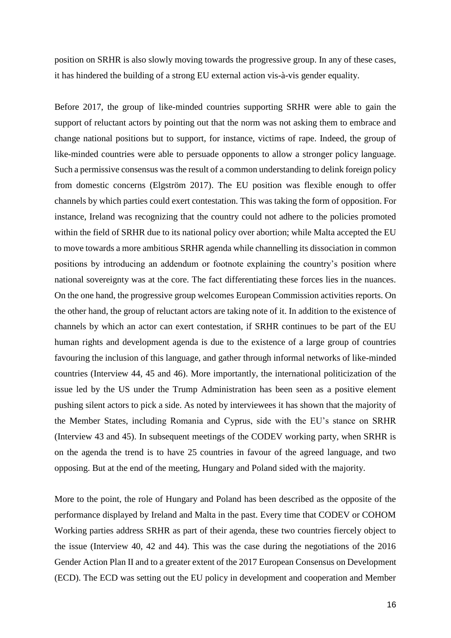position on SRHR is also slowly moving towards the progressive group. In any of these cases, it has hindered the building of a strong EU external action vis-à-vis gender equality.

Before 2017, the group of like-minded countries supporting SRHR were able to gain the support of reluctant actors by pointing out that the norm was not asking them to embrace and change national positions but to support, for instance, victims of rape. Indeed, the group of like-minded countries were able to persuade opponents to allow a stronger policy language. Such a permissive consensus was the result of a common understanding to delink foreign policy from domestic concerns (Elgström 2017). The EU position was flexible enough to offer channels by which parties could exert contestation. This was taking the form of opposition. For instance, Ireland was recognizing that the country could not adhere to the policies promoted within the field of SRHR due to its national policy over abortion; while Malta accepted the EU to move towards a more ambitious SRHR agenda while channelling its dissociation in common positions by introducing an addendum or footnote explaining the country's position where national sovereignty was at the core. The fact differentiating these forces lies in the nuances. On the one hand, the progressive group welcomes European Commission activities reports. On the other hand, the group of reluctant actors are taking note of it. In addition to the existence of channels by which an actor can exert contestation, if SRHR continues to be part of the EU human rights and development agenda is due to the existence of a large group of countries favouring the inclusion of this language, and gather through informal networks of like-minded countries (Interview 44, 45 and 46). More importantly, the international politicization of the issue led by the US under the Trump Administration has been seen as a positive element pushing silent actors to pick a side. As noted by interviewees it has shown that the majority of the Member States, including Romania and Cyprus, side with the EU's stance on SRHR (Interview 43 and 45). In subsequent meetings of the CODEV working party, when SRHR is on the agenda the trend is to have 25 countries in favour of the agreed language, and two opposing. But at the end of the meeting, Hungary and Poland sided with the majority.

More to the point, the role of Hungary and Poland has been described as the opposite of the performance displayed by Ireland and Malta in the past. Every time that CODEV or COHOM Working parties address SRHR as part of their agenda, these two countries fiercely object to the issue (Interview 40, 42 and 44). This was the case during the negotiations of the 2016 Gender Action Plan II and to a greater extent of the 2017 European Consensus on Development (ECD). The ECD was setting out the EU policy in development and cooperation and Member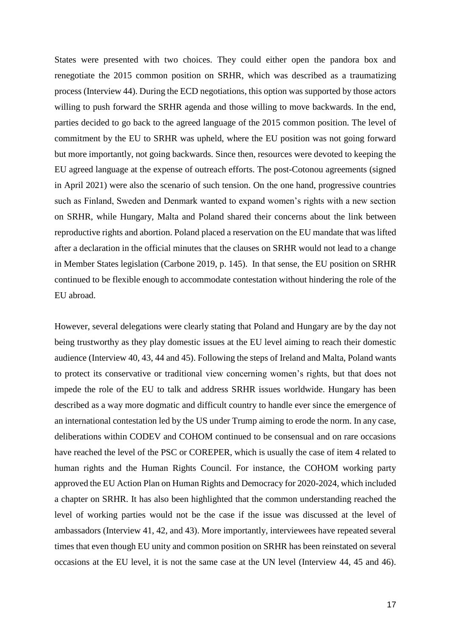States were presented with two choices. They could either open the pandora box and renegotiate the 2015 common position on SRHR, which was described as a traumatizing process (Interview 44). During the ECD negotiations, this option was supported by those actors willing to push forward the SRHR agenda and those willing to move backwards. In the end, parties decided to go back to the agreed language of the 2015 common position. The level of commitment by the EU to SRHR was upheld, where the EU position was not going forward but more importantly, not going backwards. Since then, resources were devoted to keeping the EU agreed language at the expense of outreach efforts. The post-Cotonou agreements (signed in April 2021) were also the scenario of such tension. On the one hand, progressive countries such as Finland, Sweden and Denmark wanted to expand women's rights with a new section on SRHR, while Hungary, Malta and Poland shared their concerns about the link between reproductive rights and abortion. Poland placed a reservation on the EU mandate that was lifted after a declaration in the official minutes that the clauses on SRHR would not lead to a change in Member States legislation (Carbone 2019, p. 145). In that sense, the EU position on SRHR continued to be flexible enough to accommodate contestation without hindering the role of the EU abroad.

However, several delegations were clearly stating that Poland and Hungary are by the day not being trustworthy as they play domestic issues at the EU level aiming to reach their domestic audience (Interview 40, 43, 44 and 45). Following the steps of Ireland and Malta, Poland wants to protect its conservative or traditional view concerning women's rights, but that does not impede the role of the EU to talk and address SRHR issues worldwide. Hungary has been described as a way more dogmatic and difficult country to handle ever since the emergence of an international contestation led by the US under Trump aiming to erode the norm. In any case, deliberations within CODEV and COHOM continued to be consensual and on rare occasions have reached the level of the PSC or COREPER, which is usually the case of item 4 related to human rights and the Human Rights Council. For instance, the COHOM working party approved the EU Action Plan on Human Rights and Democracy for 2020-2024, which included a chapter on SRHR. It has also been highlighted that the common understanding reached the level of working parties would not be the case if the issue was discussed at the level of ambassadors (Interview 41, 42, and 43). More importantly, interviewees have repeated several times that even though EU unity and common position on SRHR has been reinstated on several occasions at the EU level, it is not the same case at the UN level (Interview 44, 45 and 46).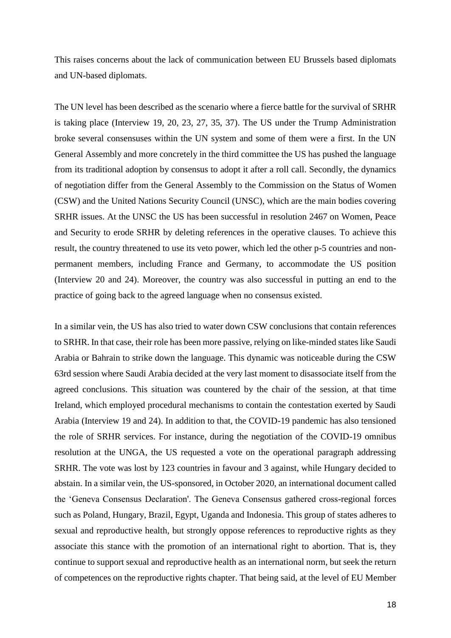This raises concerns about the lack of communication between EU Brussels based diplomats and UN-based diplomats.

The UN level has been described as the scenario where a fierce battle for the survival of SRHR is taking place (Interview 19, 20, 23, 27, 35, 37). The US under the Trump Administration broke several consensuses within the UN system and some of them were a first. In the UN General Assembly and more concretely in the third committee the US has pushed the language from its traditional adoption by consensus to adopt it after a roll call. Secondly, the dynamics of negotiation differ from the General Assembly to the Commission on the Status of Women (CSW) and the United Nations Security Council (UNSC), which are the main bodies covering SRHR issues. At the UNSC the US has been successful in resolution 2467 on Women, Peace and Security to erode SRHR by deleting references in the operative clauses. To achieve this result, the country threatened to use its veto power, which led the other p-5 countries and nonpermanent members, including France and Germany, to accommodate the US position (Interview 20 and 24). Moreover, the country was also successful in putting an end to the practice of going back to the agreed language when no consensus existed.

In a similar vein, the US has also tried to water down CSW conclusions that contain references to SRHR. In that case, their role has been more passive, relying on like-minded states like Saudi Arabia or Bahrain to strike down the language. This dynamic was noticeable during the CSW 63rd session where Saudi Arabia decided at the very last moment to disassociate itself from the agreed conclusions. This situation was countered by the chair of the session, at that time Ireland, which employed procedural mechanisms to contain the contestation exerted by Saudi Arabia (Interview 19 and 24). In addition to that, the COVID-19 pandemic has also tensioned the role of SRHR services. For instance, during the negotiation of the COVID-19 omnibus resolution at the UNGA, the US requested a vote on the operational paragraph addressing SRHR. The vote was lost by 123 countries in favour and 3 against, while Hungary decided to abstain. In a similar vein, the US-sponsored, in October 2020, an international document called the 'Geneva Consensus Declaration'. The Geneva Consensus gathered cross-regional forces such as Poland, Hungary, Brazil, Egypt, Uganda and Indonesia. This group of states adheres to sexual and reproductive health, but strongly oppose references to reproductive rights as they associate this stance with the promotion of an international right to abortion. That is, they continue to support sexual and reproductive health as an international norm, but seek the return of competences on the reproductive rights chapter. That being said, at the level of EU Member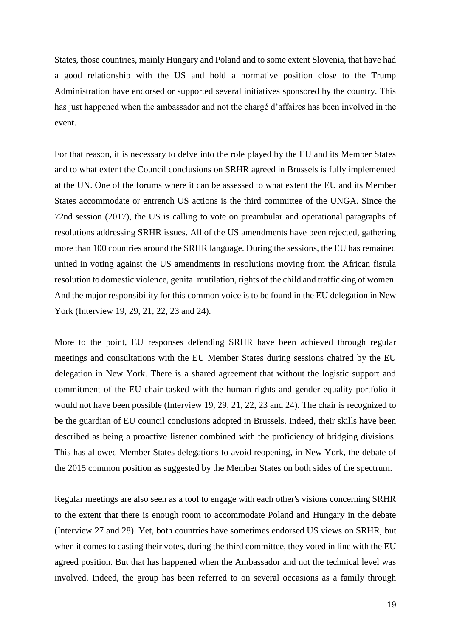States, those countries, mainly Hungary and Poland and to some extent Slovenia, that have had a good relationship with the US and hold a normative position close to the Trump Administration have endorsed or supported several initiatives sponsored by the country. This has just happened when the ambassador and not the chargé d'affaires has been involved in the event.

For that reason, it is necessary to delve into the role played by the EU and its Member States and to what extent the Council conclusions on SRHR agreed in Brussels is fully implemented at the UN. One of the forums where it can be assessed to what extent the EU and its Member States accommodate or entrench US actions is the third committee of the UNGA. Since the 72nd session (2017), the US is calling to vote on preambular and operational paragraphs of resolutions addressing SRHR issues. All of the US amendments have been rejected, gathering more than 100 countries around the SRHR language. During the sessions, the EU has remained united in voting against the US amendments in resolutions moving from the African fistula resolution to domestic violence, genital mutilation, rights of the child and trafficking of women. And the major responsibility for this common voice is to be found in the EU delegation in New York (Interview 19, 29, 21, 22, 23 and 24).

More to the point, EU responses defending SRHR have been achieved through regular meetings and consultations with the EU Member States during sessions chaired by the EU delegation in New York. There is a shared agreement that without the logistic support and commitment of the EU chair tasked with the human rights and gender equality portfolio it would not have been possible (Interview 19, 29, 21, 22, 23 and 24). The chair is recognized to be the guardian of EU council conclusions adopted in Brussels. Indeed, their skills have been described as being a proactive listener combined with the proficiency of bridging divisions. This has allowed Member States delegations to avoid reopening, in New York, the debate of the 2015 common position as suggested by the Member States on both sides of the spectrum.

Regular meetings are also seen as a tool to engage with each other's visions concerning SRHR to the extent that there is enough room to accommodate Poland and Hungary in the debate (Interview 27 and 28). Yet, both countries have sometimes endorsed US views on SRHR, but when it comes to casting their votes, during the third committee, they voted in line with the EU agreed position. But that has happened when the Ambassador and not the technical level was involved. Indeed, the group has been referred to on several occasions as a family through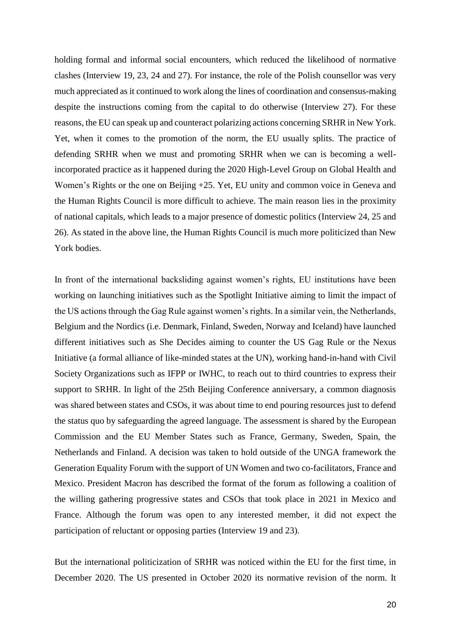holding formal and informal social encounters, which reduced the likelihood of normative clashes (Interview 19, 23, 24 and 27). For instance, the role of the Polish counsellor was very much appreciated as it continued to work along the lines of coordination and consensus-making despite the instructions coming from the capital to do otherwise (Interview 27). For these reasons, the EU can speak up and counteract polarizing actions concerning SRHR in New York. Yet, when it comes to the promotion of the norm, the EU usually splits. The practice of defending SRHR when we must and promoting SRHR when we can is becoming a wellincorporated practice as it happened during the 2020 High-Level Group on Global Health and Women's Rights or the one on Beijing +25. Yet, EU unity and common voice in Geneva and the Human Rights Council is more difficult to achieve. The main reason lies in the proximity of national capitals, which leads to a major presence of domestic politics (Interview 24, 25 and 26). As stated in the above line, the Human Rights Council is much more politicized than New York bodies.

In front of the international backsliding against women's rights, EU institutions have been working on launching initiatives such as the Spotlight Initiative aiming to limit the impact of the US actions through the Gag Rule against women's rights. In a similar vein, the Netherlands, Belgium and the Nordics (i.e. Denmark, Finland, Sweden, Norway and Iceland) have launched different initiatives such as She Decides aiming to counter the US Gag Rule or the Nexus Initiative (a formal alliance of like-minded states at the UN), working hand-in-hand with Civil Society Organizations such as IFPP or IWHC, to reach out to third countries to express their support to SRHR. In light of the 25th Beijing Conference anniversary, a common diagnosis was shared between states and CSOs, it was about time to end pouring resources just to defend the status quo by safeguarding the agreed language. The assessment is shared by the European Commission and the EU Member States such as France, Germany, Sweden, Spain, the Netherlands and Finland. A decision was taken to hold outside of the UNGA framework the Generation Equality Forum with the support of UN Women and two co-facilitators, France and Mexico. President Macron has described the format of the forum as following a coalition of the willing gathering progressive states and CSOs that took place in 2021 in Mexico and France. Although the forum was open to any interested member, it did not expect the participation of reluctant or opposing parties (Interview 19 and 23).

But the international politicization of SRHR was noticed within the EU for the first time, in December 2020. The US presented in October 2020 its normative revision of the norm. It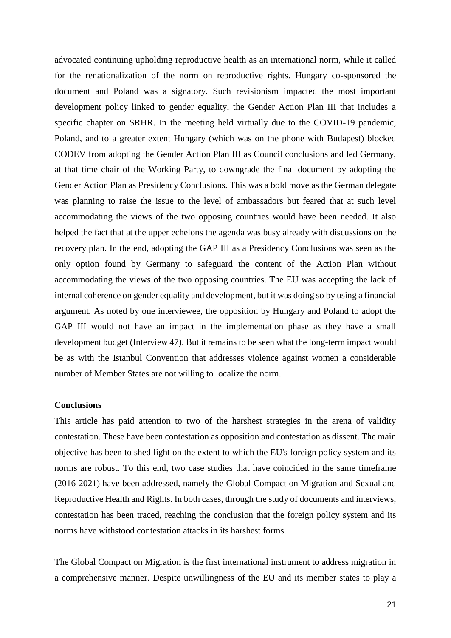advocated continuing upholding reproductive health as an international norm, while it called for the renationalization of the norm on reproductive rights. Hungary co-sponsored the document and Poland was a signatory. Such revisionism impacted the most important development policy linked to gender equality, the Gender Action Plan III that includes a specific chapter on SRHR. In the meeting held virtually due to the COVID-19 pandemic, Poland, and to a greater extent Hungary (which was on the phone with Budapest) blocked CODEV from adopting the Gender Action Plan III as Council conclusions and led Germany, at that time chair of the Working Party, to downgrade the final document by adopting the Gender Action Plan as Presidency Conclusions. This was a bold move as the German delegate was planning to raise the issue to the level of ambassadors but feared that at such level accommodating the views of the two opposing countries would have been needed. It also helped the fact that at the upper echelons the agenda was busy already with discussions on the recovery plan. In the end, adopting the GAP III as a Presidency Conclusions was seen as the only option found by Germany to safeguard the content of the Action Plan without accommodating the views of the two opposing countries. The EU was accepting the lack of internal coherence on gender equality and development, but it was doing so by using a financial argument. As noted by one interviewee, the opposition by Hungary and Poland to adopt the GAP III would not have an impact in the implementation phase as they have a small development budget (Interview 47). But it remains to be seen what the long-term impact would be as with the Istanbul Convention that addresses violence against women a considerable number of Member States are not willing to localize the norm.

#### **Conclusions**

This article has paid attention to two of the harshest strategies in the arena of validity contestation. These have been contestation as opposition and contestation as dissent. The main objective has been to shed light on the extent to which the EU's foreign policy system and its norms are robust. To this end, two case studies that have coincided in the same timeframe (2016-2021) have been addressed, namely the Global Compact on Migration and Sexual and Reproductive Health and Rights. In both cases, through the study of documents and interviews, contestation has been traced, reaching the conclusion that the foreign policy system and its norms have withstood contestation attacks in its harshest forms.

The Global Compact on Migration is the first international instrument to address migration in a comprehensive manner. Despite unwillingness of the EU and its member states to play a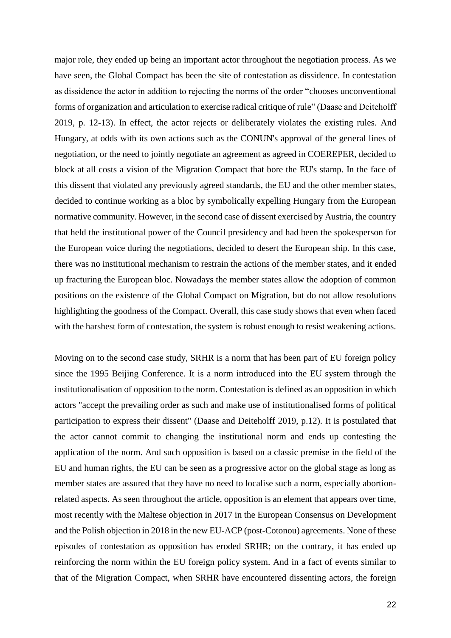major role, they ended up being an important actor throughout the negotiation process. As we have seen, the Global Compact has been the site of contestation as dissidence. In contestation as dissidence the actor in addition to rejecting the norms of the order "chooses unconventional forms of organization and articulation to exercise radical critique of rule" (Daase and Deiteholff 2019, p. 12-13). In effect, the actor rejects or deliberately violates the existing rules. And Hungary, at odds with its own actions such as the CONUN's approval of the general lines of negotiation, or the need to jointly negotiate an agreement as agreed in COEREPER, decided to block at all costs a vision of the Migration Compact that bore the EU's stamp. In the face of this dissent that violated any previously agreed standards, the EU and the other member states, decided to continue working as a bloc by symbolically expelling Hungary from the European normative community. However, in the second case of dissent exercised by Austria, the country that held the institutional power of the Council presidency and had been the spokesperson for the European voice during the negotiations, decided to desert the European ship. In this case, there was no institutional mechanism to restrain the actions of the member states, and it ended up fracturing the European bloc. Nowadays the member states allow the adoption of common positions on the existence of the Global Compact on Migration, but do not allow resolutions highlighting the goodness of the Compact. Overall, this case study shows that even when faced with the harshest form of contestation, the system is robust enough to resist weakening actions.

Moving on to the second case study, SRHR is a norm that has been part of EU foreign policy since the 1995 Beijing Conference. It is a norm introduced into the EU system through the institutionalisation of opposition to the norm. Contestation is defined as an opposition in which actors "accept the prevailing order as such and make use of institutionalised forms of political participation to express their dissent" (Daase and Deiteholff 2019, p.12). It is postulated that the actor cannot commit to changing the institutional norm and ends up contesting the application of the norm. And such opposition is based on a classic premise in the field of the EU and human rights, the EU can be seen as a progressive actor on the global stage as long as member states are assured that they have no need to localise such a norm, especially abortionrelated aspects. As seen throughout the article, opposition is an element that appears over time, most recently with the Maltese objection in 2017 in the European Consensus on Development and the Polish objection in 2018 in the new EU-ACP (post-Cotonou) agreements. None of these episodes of contestation as opposition has eroded SRHR; on the contrary, it has ended up reinforcing the norm within the EU foreign policy system. And in a fact of events similar to that of the Migration Compact, when SRHR have encountered dissenting actors, the foreign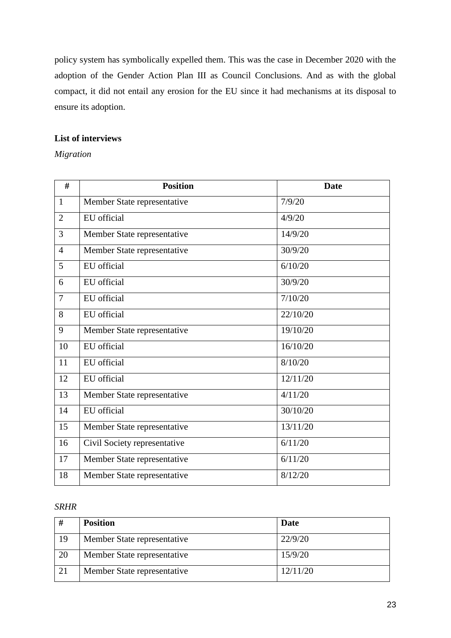policy system has symbolically expelled them. This was the case in December 2020 with the adoption of the Gender Action Plan III as Council Conclusions. And as with the global compact, it did not entail any erosion for the EU since it had mechanisms at its disposal to ensure its adoption.

## **List of interviews**

## *Migration*

| #              | <b>Position</b>              | <b>Date</b> |
|----------------|------------------------------|-------------|
| $\mathbf{1}$   | Member State representative  | 7/9/20      |
| $\overline{2}$ | EU official                  | 4/9/20      |
| 3              | Member State representative  | 14/9/20     |
| $\overline{4}$ | Member State representative  | 30/9/20     |
| 5              | EU official                  | 6/10/20     |
| 6              | EU official                  | 30/9/20     |
| $\overline{7}$ | EU official                  | 7/10/20     |
| 8              | EU official                  | 22/10/20    |
| 9              | Member State representative  | 19/10/20    |
| 10             | EU official                  | 16/10/20    |
| 11             | EU official                  | 8/10/20     |
| 12             | EU official                  | 12/11/20    |
| 13             | Member State representative  | 4/11/20     |
| 14             | EU official                  | 30/10/20    |
| 15             | Member State representative  | 13/11/20    |
| 16             | Civil Society representative | 6/11/20     |
| 17             | Member State representative  | 6/11/20     |
| 18             | Member State representative  | 8/12/20     |

## *SRHR*

| #  | <b>Position</b>             | Date     |
|----|-----------------------------|----------|
| 19 | Member State representative | 22/9/20  |
| 20 | Member State representative | 15/9/20  |
| 21 | Member State representative | 12/11/20 |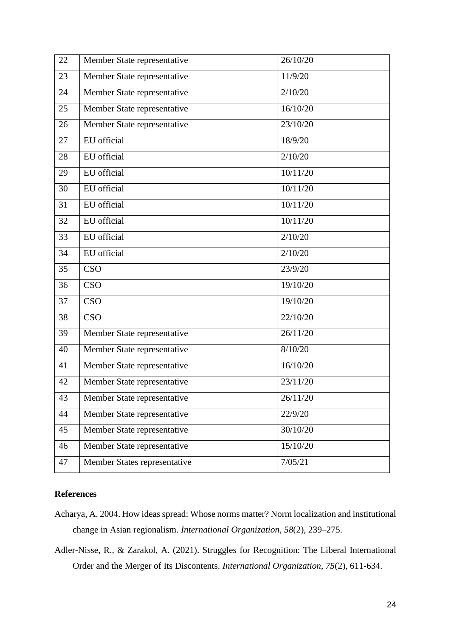| 22 | Member State representative  | 26/10/20 |
|----|------------------------------|----------|
| 23 | Member State representative  | 11/9/20  |
| 24 | Member State representative  | 2/10/20  |
| 25 | Member State representative  | 16/10/20 |
| 26 | Member State representative  | 23/10/20 |
| 27 | EU official                  | 18/9/20  |
| 28 | EU official                  | 2/10/20  |
| 29 | EU official                  | 10/11/20 |
| 30 | EU official                  | 10/11/20 |
| 31 | EU official                  | 10/11/20 |
| 32 | EU official                  | 10/11/20 |
| 33 | EU official                  | 2/10/20  |
| 34 | EU official                  | 2/10/20  |
| 35 | <b>CSO</b>                   | 23/9/20  |
| 36 | <b>CSO</b>                   | 19/10/20 |
| 37 | <b>CSO</b>                   | 19/10/20 |
| 38 | <b>CSO</b>                   | 22/10/20 |
| 39 | Member State representative  | 26/11/20 |
| 40 | Member State representative  | 8/10/20  |
| 41 | Member State representative  | 16/10/20 |
| 42 | Member State representative  | 23/11/20 |
| 43 | Member State representative  | 26/11/20 |
| 44 | Member State representative  | 22/9/20  |
| 45 | Member State representative  | 30/10/20 |
| 46 | Member State representative  | 15/10/20 |
| 47 | Member States representative | 7/05/21  |

# **References**

- Acharya, A. 2004. How ideas spread: Whose norms matter? Norm localization and institutional change in Asian regionalism. *International Organization*, *58*(2), 239–275.
- Adler-Nisse, R., & Zarakol, A. (2021). Struggles for Recognition: The Liberal International Order and the Merger of Its Discontents. *International Organization, 75*(2), 611-634.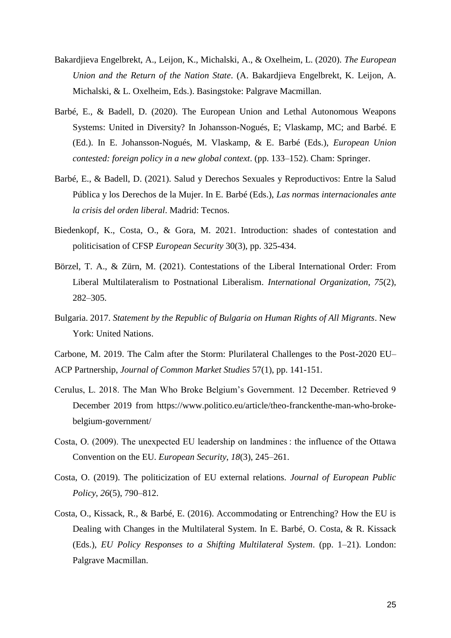- Bakardjieva Engelbrekt, A., Leijon, K., Michalski, A., & Oxelheim, L. (2020). *The European Union and the Return of the Nation State*. (A. Bakardjieva Engelbrekt, K. Leijon, A. Michalski, & L. Oxelheim, Eds.). Basingstoke: Palgrave Macmillan.
- Barbé, E., & Badell, D. (2020). The European Union and Lethal Autonomous Weapons Systems: United in Diversity? In Johansson-Nogués, E; Vlaskamp, MC; and Barbé. E (Ed.). In E. Johansson-Nogués, M. Vlaskamp, & E. Barbé (Eds.), *European Union contested: foreign policy in a new global context*. (pp. 133–152). Cham: Springer.
- Barbé, E., & Badell, D. (2021). Salud y Derechos Sexuales y Reproductivos: Entre la Salud Pública y los Derechos de la Mujer. In E. Barbé (Eds.), *Las normas internacionales ante la crisis del orden liberal*. Madrid: Tecnos.
- Biedenkopf, K., Costa, O., & Gora, M. 2021. Introduction: shades of contestation and politicisation of CFSP *European Security* 30(3), pp. 325-434.
- Börzel, T. A., & Zürn, M. (2021). Contestations of the Liberal International Order: From Liberal Multilateralism to Postnational Liberalism. *International Organization*, *75*(2), 282–305.
- Bulgaria. 2017. *Statement by the Republic of Bulgaria on Human Rights of All Migrants*. New York: United Nations.

Carbone, M. 2019. The Calm after the Storm: Plurilateral Challenges to the Post-2020 EU– ACP Partnership, *Journal of Common Market Studies* 57(1), pp. 141-151.

- Cerulus, L. 2018. The Man Who Broke Belgium's Government. 12 December. Retrieved 9 December 2019 from https://www.politico.eu/article/theo-franckenthe-man-who-brokebelgium-government/
- Costa, O. (2009). The unexpected EU leadership on landmines : the influence of the Ottawa Convention on the EU. *European Security*, *18*(3), 245–261.
- Costa, O. (2019). The politicization of EU external relations. *Journal of European Public Policy*, *26*(5), 790–812.
- Costa, O., Kissack, R., & Barbé, E. (2016). Accommodating or Entrenching? How the EU is Dealing with Changes in the Multilateral System. In E. Barbé, O. Costa, & R. Kissack (Eds.), *EU Policy Responses to a Shifting Multilateral System*. (pp. 1–21). London: Palgrave Macmillan.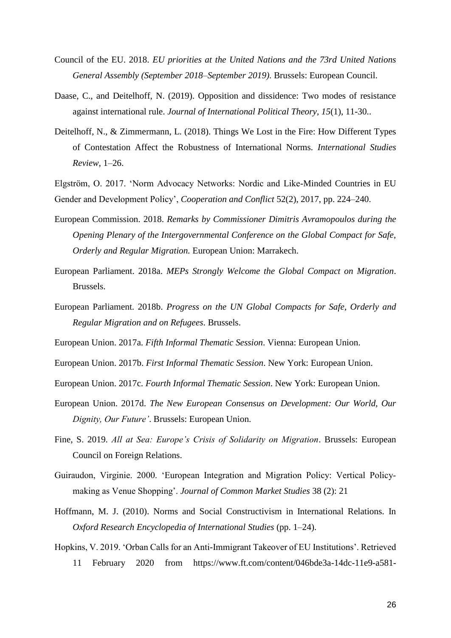- Council of the EU. 2018. *EU priorities at the United Nations and the 73rd United Nations General Assembly (September 2018–September 2019)*. Brussels: European Council.
- Daase, C., and Deitelhoff, N. (2019). Opposition and dissidence: Two modes of resistance against international rule. *Journal of International Political Theory, 15*(1), 11-30..
- Deitelhoff, N., & Zimmermann, L. (2018). Things We Lost in the Fire: How Different Types of Contestation Affect the Robustness of International Norms. *International Studies Review*, 1–26.
- Elgström, O. 2017. 'Norm Advocacy Networks: Nordic and Like-Minded Countries in EU Gender and Development Policy', *Cooperation and Conflict* 52(2), 2017, pp. 224–240.
- European Commission. 2018. *Remarks by Commissioner Dimitris Avramopoulos during the Opening Plenary of the Intergovernmental Conference on the Global Compact for Safe, Orderly and Regular Migration.* European Union: Marrakech.
- European Parliament. 2018a. *MEPs Strongly Welcome the Global Compact on Migration*. Brussels.
- European Parliament. 2018b. *Progress on the UN Global Compacts for Safe, Orderly and Regular Migration and on Refugees*. Brussels.
- European Union. 2017a. *Fifth Informal Thematic Session*. Vienna: European Union.
- European Union. 2017b. *First Informal Thematic Session*. New York: European Union.
- European Union. 2017c. *Fourth Informal Thematic Session*. New York: European Union.
- European Union. 2017d. *The New European Consensus on Development: Our World, Our Dignity, Our Future'*. Brussels: European Union.
- Fine, S. 2019. *All at Sea: Europe's Crisis of Solidarity on Migration*. Brussels: European Council on Foreign Relations.
- Guiraudon, Virginie. 2000. 'European Integration and Migration Policy: Vertical Policy‐ making as Venue Shopping'. *Journal of Common Market Studies* 38 (2): 21
- Hoffmann, M. J. (2010). Norms and Social Constructivism in International Relations. In *Oxford Research Encyclopedia of International Studies* (pp. 1–24).
- Hopkins, V. 2019. 'Orban Calls for an Anti-Immigrant Takeover of EU Institutions'. Retrieved 11 February 2020 from https://www.ft.com/content/046bde3a-14dc-11e9-a581-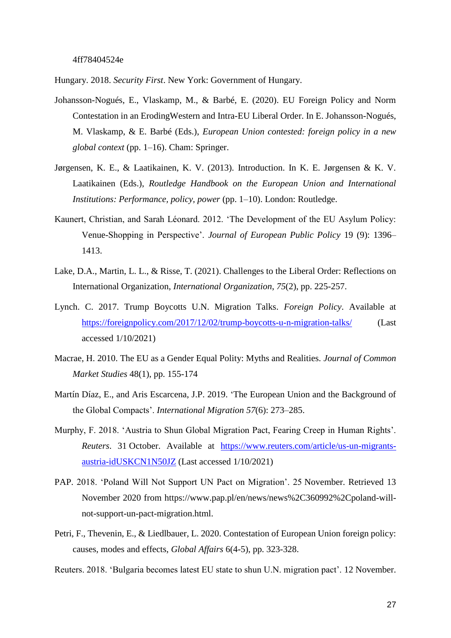Hungary. 2018. *Security First*. New York: Government of Hungary.

- Johansson-Nogués, E., Vlaskamp, M., & Barbé, E. (2020). EU Foreign Policy and Norm Contestation in an ErodingWestern and Intra-EU Liberal Order. In E. Johansson-Nogués, M. Vlaskamp, & E. Barbé (Eds.), *European Union contested: foreign policy in a new global context* (pp. 1–16). Cham: Springer.
- Jørgensen, K. E., & Laatikainen, K. V. (2013). Introduction. In K. E. Jørgensen & K. V. Laatikainen (Eds.), *Routledge Handbook on the European Union and International Institutions: Performance, policy, power* (pp. 1–10). London: Routledge.
- Kaunert, Christian, and Sarah Léonard. 2012. 'The Development of the EU Asylum Policy: Venue-Shopping in Perspective'. *Journal of European Public Policy* 19 (9): 1396– 1413.
- Lake, D.A., Martin, L. L., & Risse, T. (2021). Challenges to the Liberal Order: Reflections on International Organization, *International Organization*, *75*(2), pp. 225-257.
- Lynch. C. 2017. Trump Boycotts U.N. Migration Talks. *Foreign Policy*. Available at <https://foreignpolicy.com/2017/12/02/trump-boycotts-u-n-migration-talks/> (Last accessed 1/10/2021)
- Macrae, H. 2010. The EU as a Gender Equal Polity: Myths and Realities. *Journal of Common Market Studies* 48(1), pp. 155-174
- Martín Díaz, E., and Aris Escarcena, J.P. 2019. 'The European Union and the Background of the Global Compacts'. *International Migration 57*(6): 273–285.
- Murphy, F. 2018. 'Austria to Shun Global Migration Pact, Fearing Creep in Human Rights'. *Reuters*. 31 October. Available at [https://www.reuters.com/article/us-un-migrants](https://www.reuters.com/article/us-un-migrants-austria-idUSKCN1N50JZ)[austria-idUSKCN1N50JZ](https://www.reuters.com/article/us-un-migrants-austria-idUSKCN1N50JZ) (Last accessed 1/10/2021)
- PAP. 2018. 'Poland Will Not Support UN Pact on Migration'. 25 November. Retrieved 13 November 2020 from https://www.pap.pl/en/news/news%2C360992%2Cpoland-willnot-support-un-pact-migration.html.
- Petri, F., Thevenin, E., & Liedlbauer, L. 2020. Contestation of European Union foreign policy: causes, modes and effects, *Global Affairs* 6(4-5), pp. 323-328.
- Reuters. 2018. 'Bulgaria becomes latest EU state to shun U.N. migration pact'. 12 November.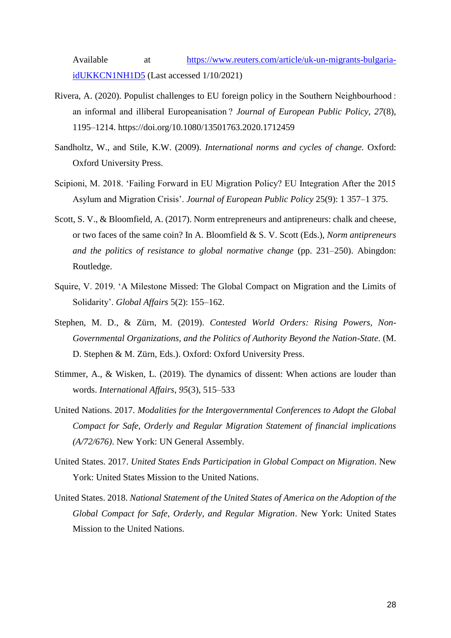Available at [https://www.reuters.com/article/uk-un-migrants-bulgaria](https://www.reuters.com/article/uk-un-migrants-bulgaria-idUKKCN1NH1D5)[idUKKCN1NH1D5](https://www.reuters.com/article/uk-un-migrants-bulgaria-idUKKCN1NH1D5) (Last accessed 1/10/2021)

- Rivera, A. (2020). Populist challenges to EU foreign policy in the Southern Neighbourhood : an informal and illiberal Europeanisation ? *Journal of European Public Policy*, *27*(8), 1195–1214. https://doi.org/10.1080/13501763.2020.1712459
- Sandholtz, W., and Stile, K.W. (2009). *International norms and cycles of change.* Oxford: Oxford University Press.
- Scipioni, M. 2018. 'Failing Forward in EU Migration Policy? EU Integration After the 2015 Asylum and Migration Crisis'. *Journal of European Public Policy* 25(9): 1 357–1 375.
- Scott, S. V., & Bloomfield, A. (2017). Norm entrepreneurs and antipreneurs: chalk and cheese, or two faces of the same coin? In A. Bloomfield & S. V. Scott (Eds.), *Norm antipreneurs and the politics of resistance to global normative change* (pp. 231–250). Abingdon: Routledge.
- Squire, V. 2019. 'A Milestone Missed: The Global Compact on Migration and the Limits of Solidarity'. *Global Affairs* 5(2): 155–162.
- Stephen, M. D., & Zürn, M. (2019). *Contested World Orders: Rising Powers, Non-Governmental Organizations, and the Politics of Authority Beyond the Nation-State*. (M. D. Stephen & M. Zürn, Eds.). Oxford: Oxford University Press.
- Stimmer, A., & Wisken, L. (2019). The dynamics of dissent: When actions are louder than words. *International Affairs*, *95*(3), 515–533
- United Nations. 2017. *Modalities for the Intergovernmental Conferences to Adopt the Global Compact for Safe, Orderly and Regular Migration Statement of financial implications (A/72/676)*. New York: UN General Assembly.
- United States. 2017. *United States Ends Participation in Global Compact on Migration*. New York: United States Mission to the United Nations.
- United States. 2018. *National Statement of the United States of America on the Adoption of the Global Compact for Safe, Orderly, and Regular Migration*. New York: United States Mission to the United Nations.